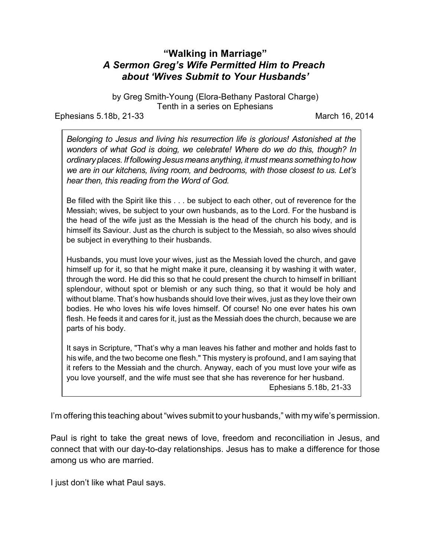## **"Walking in Marriage"** *A Sermon Greg's Wife Permitted Him to Preach about 'Wives Submit to Your Husbands'*

by Greg Smith-Young (Elora-Bethany Pastoral Charge) Tenth in a series on Ephesians

Ephesians 5.18b, 21-33 March 16, 2014

*Belonging to Jesus and living his resurrection life is glorious! Astonished at the wonders of what God is doing, we celebrate! Where do we do this, though? In ordinary places. If followingJesus means anything, it must means something to how we are in our kitchens, living room, and bedrooms, with those closest to us. Let's hear then, this reading from the Word of God.*

Be filled with the Spirit like this . . . be subject to each other, out of reverence for the Messiah; wives, be subject to your own husbands, as to the Lord. For the husband is the head of the wife just as the Messiah is the head of the church his body, and is himself its Saviour. Just as the church is subject to the Messiah, so also wives should be subject in everything to their husbands.

Husbands, you must love your wives, just as the Messiah loved the church, and gave himself up for it, so that he might make it pure, cleansing it by washing it with water, through the word. He did this so that he could present the church to himself in brilliant splendour, without spot or blemish or any such thing, so that it would be holy and without blame. That's how husbands should love their wives, just as they love their own bodies. He who loves his wife loves himself. Of course! No one ever hates his own flesh. He feeds it and cares for it, just as the Messiah does the church, because we are parts of his body.

It says in Scripture, "That's why a man leaves his father and mother and holds fast to his wife, and the two become one flesh." This mystery is profound, and I am saying that it refers to the Messiah and the church. Anyway, each of you must love your wife as you love yourself, and the wife must see that she has reverence for her husband.

Ephesians 5.18b, 21-33

I'm offering this teaching about "wives submit to your husbands," with my wife's permission.

Paul is right to take the great news of love, freedom and reconciliation in Jesus, and connect that with our day-to-day relationships. Jesus has to make a difference for those among us who are married.

I just don't like what Paul says.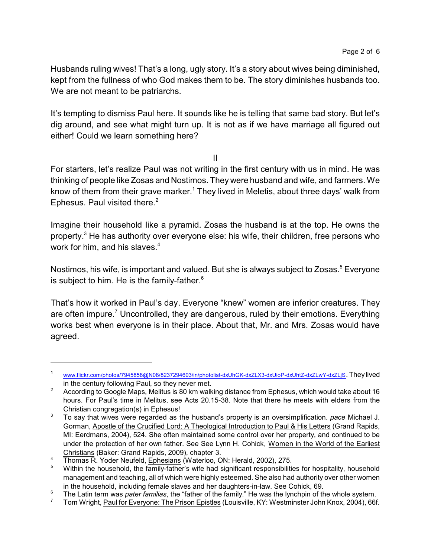Husbands ruling wives! That's a long, ugly story. It's a story about wives being diminished, kept from the fullness of who God makes them to be. The story diminishes husbands too. We are not meant to be patriarchs.

It's tempting to dismiss Paul here. It sounds like he is telling that same bad story. But let's dig around, and see what might turn up. It is not as if we have marriage all figured out either! Could we learn something here?

II

For starters, let's realize Paul was not writing in the first century with us in mind. He was thinking of people like Zosas and Nostimos. They were husband and wife, and farmers. We know of them from their grave marker.<sup>1</sup> They lived in Meletis, about three days' walk from Ephesus. Paul visited there. $2$ 

Imagine their household like a pyramid. Zosas the husband is at the top. He owns the property.<sup>3</sup> He has authority over everyone else: his wife, their children, free persons who work for him, and his slaves. $4$ 

Nostimos, his wife, is important and valued. But she is always subject to Zosas.<sup>5</sup> Everyone is subject to him. He is the family-father. $6$ 

That's how it worked in Paul's day. Everyone "knew" women are inferior creatures. They are often impure.<sup>7</sup> Uncontrolled, they are dangerous, ruled by their emotions. Everything works best when everyone is in their place. About that, Mr. and Mrs. Zosas would have agreed.

<sup>1</sup> [www.flickr.com/photos/7945858@N08/8237294603/in/photolist-dxUhGK-dxZLX3-dxUioP-dxUhtZ-dxZLwY-dxZLjS](<current%20dhttp://www.flickr.com/photos/7945858@N08/8237294603/in/photolist-dxUhGK-dxZLX3-dxUioP-dxUhtZ-dxZLwY-dxZLjS). They lived in the century following Paul, so they never met.

<sup>&</sup>lt;sup>2</sup> According to Google Maps, Melitus is 80 km walking distance from Ephesus, which would take about 16 hours. For Paul's time in Melitus, see Acts 20.15-38. Note that there he meets with elders from the Christian congregation(s) in Ephesus!

<sup>3</sup> To say that wives were regarded as the husband's property is an oversimplification. *pace* Michael J. Gorman, Apostle of the Crucified Lord: A Theological Introduction to Paul & His Letters (Grand Rapids, MI: Eerdmans, 2004), 524. She often maintained some control over her property, and continued to be under the protection of her own father. See See Lynn H. Cohick, Women in the World of the Earliest Christians (Baker: Grand Rapids, 2009), chapter 3.

<sup>&</sup>lt;sup>4</sup> Thomas R. Yoder Neufeld,  $\frac{Ephesians}{Ephesians}$  (Waterloo, ON: Herald, 2002), 275.<br><sup>5</sup> Within the household, the family-father's wife had significant responsibilities

<sup>5</sup> Within the household, the family-father's wife had significant responsibilities for hospitality, household management and teaching, all of which were highly esteemed. She also had authority over other women in the household, including female slaves and her daughters-in-law. See Cohick, 69.

<sup>&</sup>lt;sup>6</sup> The Latin term was *pater familias*, the "father of the family." He was the lynchpin of the whole system.<br><sup>7</sup> Tom Wright, Baul for Evenione: The Prison Enistles (Louisville, KY: Westminster, John Knox, 2004), 66f

<sup>7</sup> Tom Wright, Paul for Everyone: The Prison Epistles (Louisville, KY: Westminster John Knox, 2004), 66f.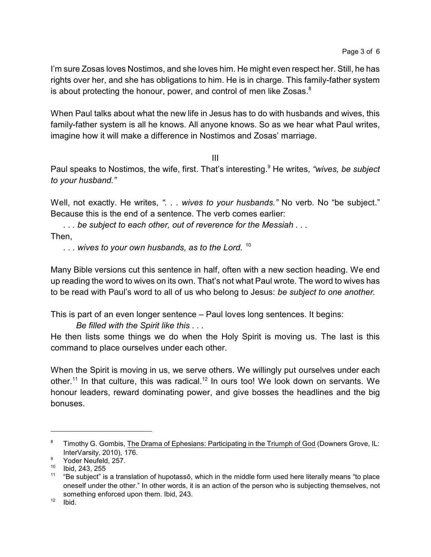I'm sure Zosas loves Nostimos, and she loves him. He might even respect her. Still, he has rights over her, and she has obligations to him. He is in charge. This family-father system is about protecting the honour, power, and control of men like Zosas. $8$ 

When Paul talks about what the new life in Jesus has to do with husbands and wives, this family-father system is all he knows. All anyone knows. So as we hear what Paul writes, imagine how it will make a difference in Nostimos and Zosas' marriage.

III

Paul speaks to Nostimos, the wife, first. That's interesting. 9 He writes, *"wives, be subject to your husband."*

Well, not exactly. He writes, ". . . wives to your husbands." No verb. No "be subject." Because this is the end of a sentence. The verb comes earlier:

*. . . be subject to each other, out of reverence for the Messiah . . .*

Then,

*. . . wives to your own husbands, as to the Lord.* <sup>10</sup>

Many Bible versions cut this sentence in half, often with a new section heading. We end up reading the word to wives on its own. That's not what Paul wrote. The word to wives has to be read with Paul's word to all of us who belong to Jesus: *be subject to one another.*

This is part of an even longer sentence – Paul loves long sentences. It begins:

*Be filled with the Spirit like this . . .* 

He then lists some things we do when the Holy Spirit is moving us. The last is this command to place ourselves under each other.

When the Spirit is moving in us, we serve others. We willingly put ourselves under each other.<sup>11</sup> In that culture, this was radical.<sup>12</sup> In ours too! We look down on servants. We honour leaders, reward dominating power, and give bosses the headlines and the big bonuses.

<sup>&</sup>lt;sup>8</sup> Timothy G. Gombis, The Drama of Ephesians: Participating in the Triumph of God (Downers Grove, IL: InterVarsity, 2010), 176.

<sup>&</sup>lt;sup>9</sup> Yoder Neufeld, 257.

<sup>10</sup> Ibid, 243, 255

 $11$  "Be subject" is a translation of hupotassō, which in the middle form used here literally means "to place oneself under the other." In other words, it is an action of the person who is subjecting themselves, not something enforced upon them. Ibid, 243.

 $12$  Ibid.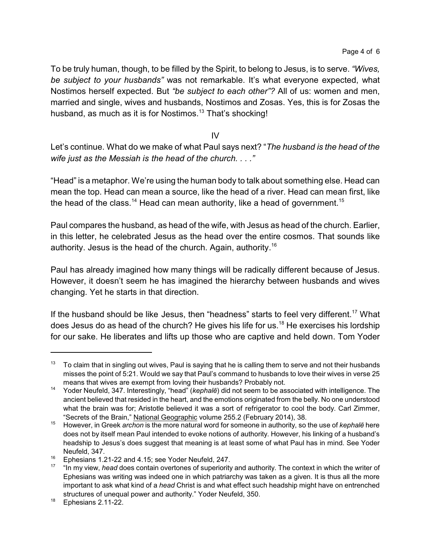To be truly human, though, to be filled by the Spirit, to belong to Jesus, is to serve. *"Wives, be subject to your husbands"* was not remarkable. It's what everyone expected, what Nostimos herself expected. But *"be subject to each other"?* All of us: women and men, married and single, wives and husbands, Nostimos and Zosas. Yes, this is for Zosas the husband, as much as it is for Nostimos.<sup>13</sup> That's shocking!

IV

Let's continue. What do we make of what Paul says next? "*The husband is the head of the wife just as the Messiah is the head of the church. . . ."*

"Head" is a metaphor. We're using the human body to talk about something else. Head can mean the top. Head can mean a source, like the head of a river. Head can mean first, like the head of the class.<sup>14</sup> Head can mean authority, like a head of government.<sup>15</sup>

Paul compares the husband, as head of the wife, with Jesus as head of the church. Earlier, in this letter, he celebrated Jesus as the head over the entire cosmos. That sounds like authority. Jesus is the head of the church. Again, authority. 16

Paul has already imagined how many things will be radically different because of Jesus. However, it doesn't seem he has imagined the hierarchy between husbands and wives changing. Yet he starts in that direction.

If the husband should be like Jesus, then "headness" starts to feel very different.<sup>17</sup> What does Jesus do as head of the church? He gives his life for us.<sup>18</sup> He exercises his lordship for our sake. He liberates and lifts up those who are captive and held down. Tom Yoder

 $13$  To claim that in singling out wives, Paul is saying that he is calling them to serve and not their husbands misses the point of 5:21. Would we say that Paul's command to husbands to love their wives in verse 25 means that wives are exempt from loving their husbands? Probably not.

<sup>14</sup> Yoder Neufeld, 347. Interestingly, "head" (*kephalç*) did not seem to be associated with intelligence. The ancient believed that resided in the heart, and the emotions originated from the belly. No one understood what the brain was for; Aristotle believed it was a sort of refrigerator to cool the body. Carl Zimmer, "Secrets of the Brain," National Geographic volume 255.2 (February 2014), 38.

<sup>15</sup> However, in Greek *archon* is the more natural word for someone in authority, so the use of *kephalç* here does not by itself mean Paul intended to evoke notions of authority. However, his linking of a husband's headship to Jesus's does suggest that meaning is at least some of what Paul has in mind. See Yoder Neufeld, 347.

<sup>&</sup>lt;sup>16</sup> Ephesians 1.21-22 and 4.15; see Yoder Neufeld, 247.

<sup>&</sup>lt;sup>17</sup> "In my view, *head* does contain overtones of superiority and authority. The context in which the writer of Ephesians was writing was indeed one in which patriarchy was taken as a given. It is thus all the more important to ask what kind of a *head* Christ is and what effect such headship might have on entrenched structures of unequal power and authority." Yoder Neufeld, 350.

 $18$  Ephesians 2.11-22.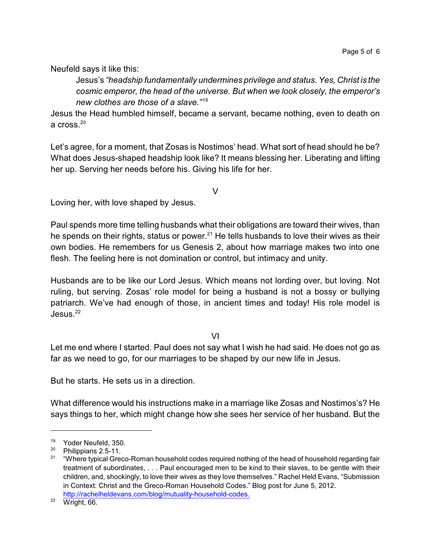Neufeld says it like this:

Jesus's *"headship fundamentally undermines privilege and status. Yes, Christ is the cosmic emperor, the head of the universe. But when we look closely, the emperor's new clothes are those of a slave."<sup>19</sup>*

Jesus the Head humbled himself, became a servant, became nothing, even to death on a cross. $^{20}$ 

Let's agree, for a moment, that Zosas is Nostimos' head. What sort of head should he be? What does Jesus-shaped headship look like? It means blessing her. Liberating and lifting her up. Serving her needs before his. Giving his life for her.

V

Loving her, with love shaped by Jesus.

Paul spends more time telling husbands what their obligations are toward their wives, than he spends on their rights, status or power.<sup>21</sup> He tells husbands to love their wives as their own bodies. He remembers for us Genesis 2, about how marriage makes two into one flesh. The feeling here is not domination or control, but intimacy and unity.

Husbands are to be like our Lord Jesus. Which means not lording over, but loving. Not ruling, but serving. Zosas' role model for being a husband is not a bossy or bullying patriarch. We've had enough of those, in ancient times and today! His role model is  $J$ esus. $^{22}$ 

VI

Let me end where I started. Paul does not say what I wish he had said. He does not go as far as we need to go, for our marriages to be shaped by our new life in Jesus.

But he starts. He sets us in a direction.

What difference would his instructions make in a marriage like Zosas and Nostimos's? He says things to her, which might change how she sees her service of her husband. But the

<sup>&</sup>lt;sup>19</sup> Yoder Neufeld, 350.<br><sup>20</sup> Philippiano 2.5.11

<sup>&</sup>lt;sup>20</sup> Philippians 2.5-11.<br><sup>21</sup> "Where typical Crea

<sup>21</sup> "Where typical Greco-Roman household codes required nothing of the head of household regarding fair treatment of subordinates, . . . Paul encouraged men to be kind to their slaves, to be gentle with their children, and, shockingly, to love their wives as they love themselves." Rachel Held Evans, "Submission in Context: Christ and the Greco-Roman Household Codes." Blog post for June 5, 2012. <http://rachelheldevans.com/blog/mutuality-household-codes.>

 $22$  Wright, 66.